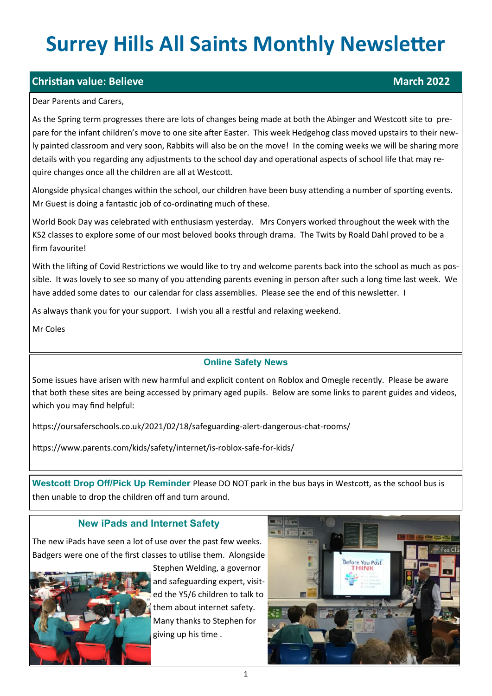# **Surrey Hills All Saints Monthly Newsletter**

# **Christian value: Believe March 2022**

#### Dear Parents and Carers,

As the Spring term progresses there are lots of changes being made at both the Abinger and Westcott site to prepare for the infant children's move to one site after Easter. This week Hedgehog class moved upstairs to their newly painted classroom and very soon, Rabbits will also be on the move! In the coming weeks we will be sharing more details with you regarding any adjustments to the school day and operational aspects of school life that may require changes once all the children are all at Westcott.

Alongside physical changes within the school, our children have been busy attending a number of sporting events. Mr Guest is doing a fantastic job of co-ordinating much of these.

World Book Day was celebrated with enthusiasm yesterday. Mrs Conyers worked throughout the week with the KS2 classes to explore some of our most beloved books through drama. The Twits by Roald Dahl proved to be a firm favourite!

With the lifting of Covid Restrictions we would like to try and welcome parents back into the school as much as possible. It was lovely to see so many of you attending parents evening in person after such a long time last week. We have added some dates to our calendar for class assemblies. Please see the end of this newsletter. I

As always thank you for your support. I wish you all a restful and relaxing weekend.

Mr Coles

### **Online Safety News**

Some issues have arisen with new harmful and explicit content on Roblox and Omegle recently. Please be aware that both these sites are being accessed by primary aged pupils. Below are some links to parent guides and videos, which you may find helpful:

https://oursaferschools.co.uk/2021/02/18/safeguarding-alert-dangerous-chat-rooms/

https://www.parents.com/kids/safety/internet/is-roblox-safe-for-kids/

**Westcott Drop Off/Pick Up Reminder** Please DO NOT park in the bus bays in Westcott, as the school bus is then unable to drop the children off and turn around.

## **New iPads and Internet Safety**

The new iPads have seen a lot of use over the past few weeks. Badgers were one of the first classes to utilise them. Alongside



Stephen Welding, a governor and safeguarding expert, visited the Y5/6 children to talk to them about internet safety. Many thanks to Stephen for giving up his time .

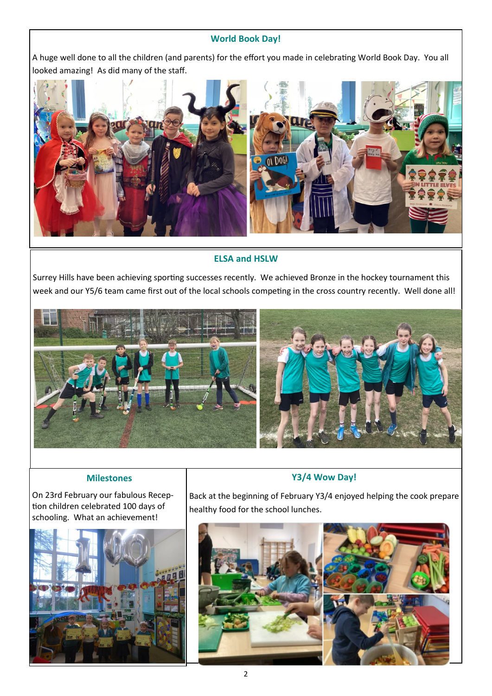#### **World Book Day!**

A huge well done to all the children (and parents) for the effort you made in celebrating World Book Day. You all looked amazing! As did many of the staff.



#### **ELSA and HSLW**

Surrey Hills have been achieving sporting successes recently. We achieved Bronze in the hockey tournament this week and our Y5/6 team came first out of the local schools competing in the cross country recently. Well done all!



#### **Milestones**

On 23rd February our fabulous Reception children celebrated 100 days of schooling. What an achievement!



Back at the beginning of February Y3/4 enjoyed helping the cook prepare healthy food for the school lunches.

**Y3/4 Wow Day!**